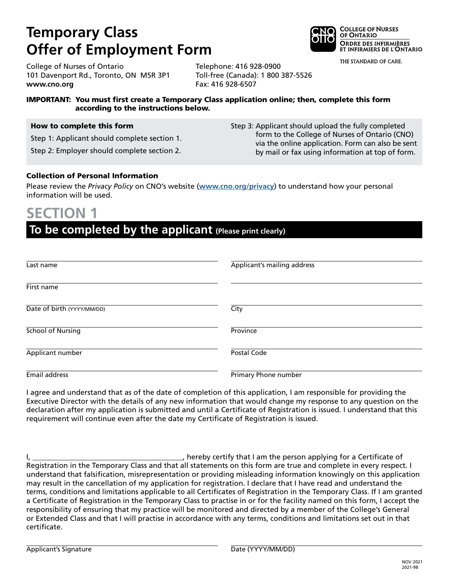# **Temporary Class Offer of Employment Form**

**COLLEGE OF NURSES** OF ONTARIO **ORDRE DES INFIRMIÈRES** ET INFIRMIERS DE L'ONTARIO

Step 3: Applicant should upload the fully completed

form to the College of Nurses of Ontario (CNO) via the online application. Form can also be sent by mail or fax using information at top of form.

THE STANDARD OF CARE.

College of Nurses of Ontario 101 Davenport Rd., Toronto, ON M5R 3P1 **www.cno.org**

Telephone: 416 928-0900 Toll-free (Canada): 1 800 387-5526 Fax: 416 928-6507

### IMPORTANT: You must first create a Temporary Class application online; then, complete this form according to the instructions below.

#### How to complete this form

Step 1: Applicant should complete section 1.

Step 2: Employer should complete section 2.

### Collection of Personal Information

Please review the *Privacy Policy* on CNO's website (**www.cno.org/privacy**) to understand how your personal information will be used.

## **SECTION 1**

### **To be completed by the applicant (Please print clearly)**

| Last name                  | Applicant's mailing address |
|----------------------------|-----------------------------|
| First name                 |                             |
| Date of birth (YYYY/MM/DD) | City                        |
| <b>School of Nursing</b>   | Province                    |
| Applicant number           | Postal Code                 |
| Email address              | Primary Phone number        |

I agree and understand that as of the date of completion of this application, I am responsible for providing the Executive Director with the details of any new information that would change my response to any question on the declaration after my application is submitted and until a Certificate of Registration is issued. I understand that this requirement will continue even after the date my Certificate of Registration is issued.

I, \_\_\_\_\_\_\_\_\_\_\_\_\_\_\_\_\_\_\_\_\_\_\_\_\_\_\_\_\_\_\_\_\_\_\_\_\_\_\_\_\_, hereby certify that I am the person applying for a Certificate of Registration in the Temporary Class and that all statements on this form are true and complete in every respect. I understand that falsification, misrepresentation or providing misleading information knowingly on this application may result in the cancellation of my application for registration. I declare that I have read and understand the terms, conditions and limitations applicable to all Certificates of Registration in the Temporary Class. If I am granted a Certificate of Registration in the Temporary Class to practise in or for the facility named on this form, I accept the responsibility of ensuring that my practice will be monitored and directed by a member of the College's General or Extended Class and that I will practise in accordance with any terms, conditions and limitations set out in that certificate.